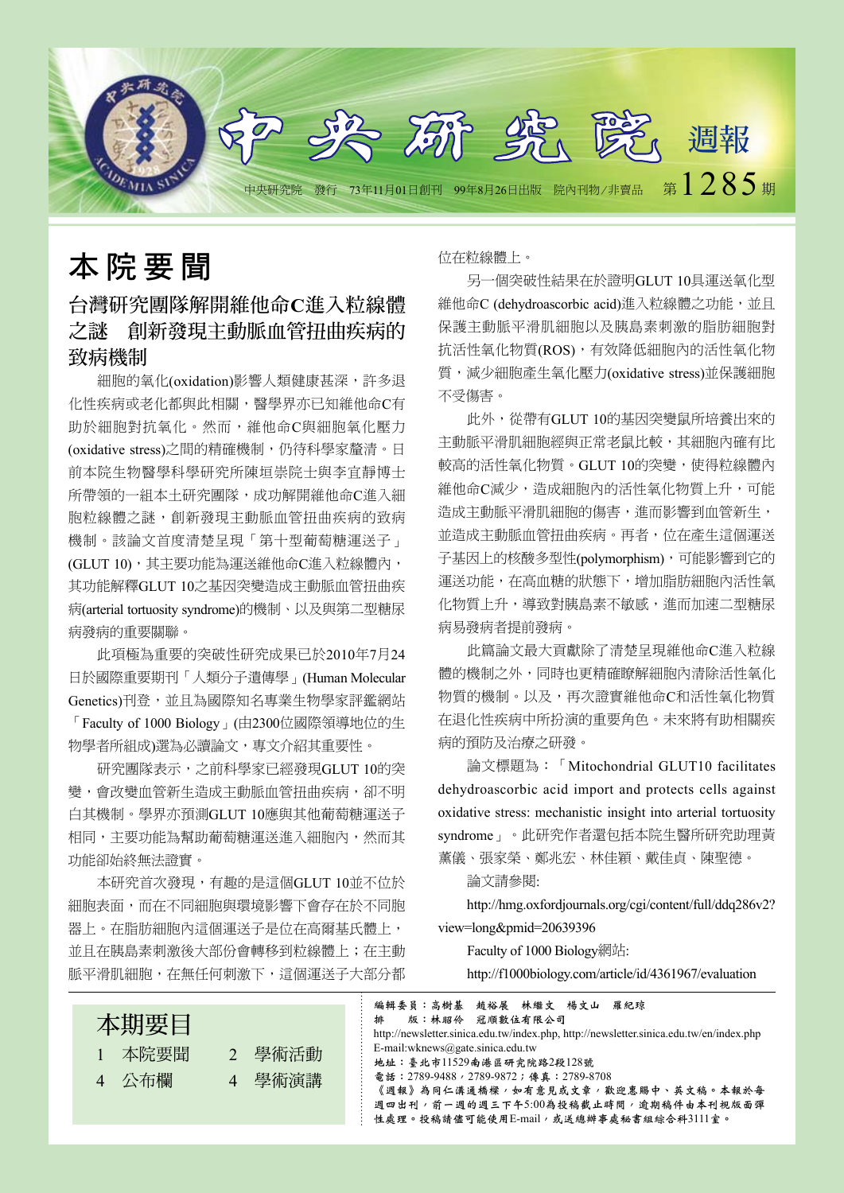

# 本 院 要 聞

# 台灣研究團隊解開維他命**C**進入粒線體 之謎 創新發現主動脈血管扭曲疾病的 致病機制

細胞的氧化(oxidation)影響人類健康甚深,許多退 化性疾病或老化都與此相關,醫學界亦已知維他命C有 助於細胞對抗氧化。然而,維他命C與細胞氧化壓力 (oxidative stress)之間的精確機制,仍待科學家釐清。日 前本院生物醫學科學研究所陳垣崇院士與李宜靜博士 所帶領的一組本土研究團隊,成功解開維他命C進入細 胞粒線體之謎,創新發現主動脈血管扭曲疾病的致病 機制。該論文首度清楚呈現「第十型葡萄糖運送子」 (GLUT 10), 其主要功能為運送維他命C進入粒線體內, 其功能解釋GLUT 10之基因突變造成主動脈血管扭曲疾 病(arterial tortuosity syndrome)的機制、以及與第二型糖尿 病發病的重要關聯。

此項極為重要的突破性研究成果已於2010年7月24 日於國際重要期刊「人類分子遺傳學」(Human Molecular Genetics)刊登, 並且為國際知名專業生物學家評鑑網站 「Faculty of 1000 Biology」(由2300位國際領導地位的生 物學者所組成)選為必讀論文,專文介紹其重要性。

研究團隊表示,之前科學家已經發現GLUT 10的突 變,會改變血管新生造成主動脈血管扭曲疾病,卻不明 白其機制。學界亦預測GLUT 10應與其他葡萄糖運送子 相同,主要功能為幫助葡萄糖運送進入細胞內,然而其 功能卻始終無法證實。

本研究首次發現,有趣的是這個GLUT 10並不位於 細胞表面,而在不同細胞與環境影響下會存在於不同胞 器上。在脂肪細胞內這個運送子是位在高爾基氏體上, 並且在胰島素刺激後大部份會轉移到粒線體上;在主動 脈平滑肌細胞,在無任何刺激下,這個運送子大部分都

位在粒線體上。

另一個突破性結果在於證明GLUT 10具運送氧化型 維他命C (dehydroascorbic acid)進入粒線體之功能,並且 保護主動脈平滑肌細胞以及胰島素刺激的脂肪細胞對 抗活性氧化物質(ROS),有效降低細胞內的活性氧化物 質,減少細胞產生氧化壓力(oxidative stress)並保護細胞 不受傷害。

此外,從帶有GLUT 10的基因突變鼠所培養出來的 主動脈平滑肌細胞經與正常老鼠比較,其細胞內確有比 較高的活性氧化物質。GLUT 10的突變,使得粒線體內 維他命C減少,造成細胞內的活性氧化物質上升,可能 造成主動脈平滑肌細胞的傷害,進而影響到血管新生, 並造成主動脈血管扭曲疾病。再者,位在產生這個運送 子基因上的核酸多型性(polymorphism),可能影響到它的 運送功能,在高血糖的狀態下,增加脂肪細胞內活性氧 化物質上升,導致對胰島素不敏感,進而加速二型糖尿 病易發病者提前發病。

此篇論文最大貢獻除了清楚呈現維他命C進入粒線 體的機制之外,同時也更精確瞭解細胞內清除活性氧化 物質的機制。以及,再次證實維他命C和活性氧化物質 在退化性疾病中所扮演的重要角色。未來將有助相關疾 病的預防及治療之研發。

論文標題為:「Mitochondrial GLUT10 facilitates dehydroascorbic acid import and protects cells against oxidative stress: mechanistic insight into arterial tortuosity syndrome」。此研究作者還包括本院生醫所研究助理黃 薰儀、張家榮、鄭兆宏、林佳穎、戴佳貞、陳聖德。

論文請參閱:

http://hmg.oxfordjournals.org/cgi/content/full/ddq286v2? view=long&pmid=20639396

Faculty of 1000 Biology網站:

http://f1000biology.com/article/id/4361967/evaluation



性處理。投稿請儘可能使用E-mail,或送總辦事處秘書組綜合科3111室。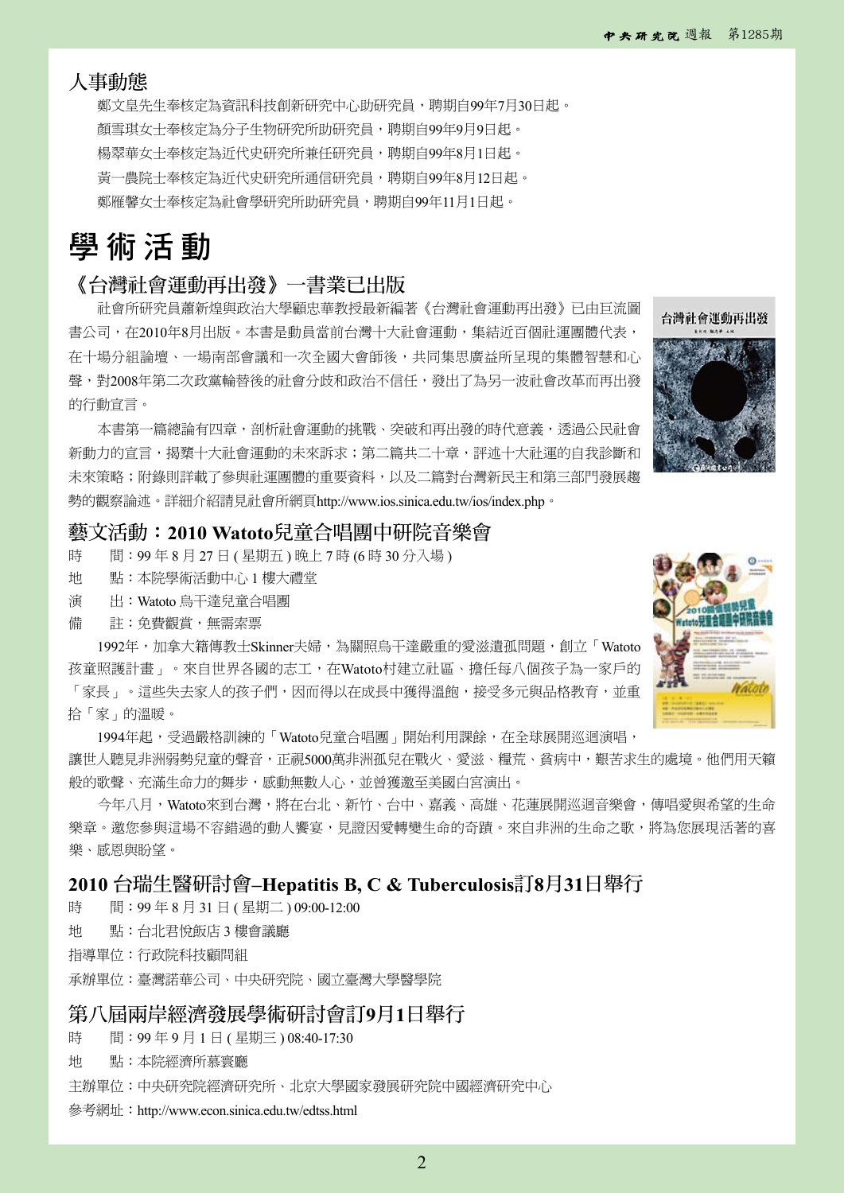### 人事動態

鄭文皇先生奉核定為資訊科技創新研究中心助研究員,聘期自99年7月30日起。 顏雪琪女士奉核定為分子生物研究所助研究員,聘期自99年9月9日起。 楊翠華女士奉核定為沂代史研究所兼任研究員,聘期自99年8月1日起。 黃一農院士奉核定為近代史研究所通信研究員,聘期自99年8月12日起。 鄭雁馨女士奉核定為社會學研究所助研究員,聘期自99年11月1日起。

# 學 術 活 動

### 《台灣社會運動再出發》一書業已出版

社會所研究員蕭新煌與政治大學顧忠華教授最新編著《台灣社會運動再出發》已由巨流圖 書公司,在2010年8月出版。本書是動員當前台灣十大社會運動,集結近百個社運團體代表, 在十場分組論壇、一場南部會議和一次全國大會師後,共同集思廣益所呈現的集體智慧和心 聲,對2008年第二次政黨輪替後的社會分歧和政治不信任,發出了為另一波社會改革而再出發 的行動宣言。

本書第一篇總論有四章,剖析社會運動的挑戰、突破和再出發的時代意義,透過公民社會 新動力的宣言,揭櫫十大社會運動的未來訴求;第二篇共二十章,評述十大社運的自我診斷和 未來策略;附錄則詳載了參與社運團體的重要資料,以及二篇對台灣新民主和第三部門發展趨 勢的觀察論述。詳細介紹請見社會所網頁http://www.ios.sinica.edu.tw/ios/index.php。

## 藝文活動:**2010 Watoto**兒童合唱團中研院音樂會

- 時 間: 99年8月27日 (星期五) 晚上 7時 (6時 30分入場)
- 地 點:本院學術活動中心 1 樓大禮堂
- 演 出:Watoto 烏干達兒童合唱團
- 備 註:免費觀賞,無需索票

1992年,加拿大籍傳教士Skinner夫婦,為關照烏干達嚴重的愛滋遺孤問題,創立「Watoto 孩童照護計畫」。來自世界各國的志工,在Watoto村建立社區、擔任每八個孩子為一家戶的 「家長」。這些失去家人的孩子們,因而得以在成長中獲得溫飽,接受多元與品格教育,並重 拾「家」的溫暖。

1994年起,受過嚴格訓練的「Watoto兒童合唱團」開始利用課餘,在全球展開巡迴演唱, 讓世人聽見非洲弱勢兒童的聲音,正視5000萬非洲孤兒在戰火、愛滋、糧荒、貧病中,艱苦求生的處境。他們用天籟 般的歌聲、充滿生命力的舞步,感動無數人心,並曾獲邀至美國白宮演出。

今年八月,Watoto來到台灣,將在台北、新竹、台中、嘉義、高雄、花蓮展開巡迴音樂會,傳唱愛與希望的生命 樂章。邀您參與這場不容錯過的動人饗宴,見證因愛轉變生命的奇蹟。來自非洲的生命之歌,將為您展現活著的喜 樂、感恩與盼望。

#### **2010** 台瑞生醫研討會**–Hepatitis B, C & Tuberculosis**訂**8**月**31**日舉行

時 間:99年8月31日 (星期二) 09:00-12:00

地 點:台北君悅飯店 3 樓會議廳

指導單位:行政院科技顧問組

承辦單位:臺灣諾華公司、中央研究院、國立臺灣大學醫學院

#### 第八屆兩岸經濟發展學術研討會訂**9**月**1**日舉行

時 間: 99年9月1日 (星期三) 08:40-17:30

地 點:本院經濟所慕寰廳

主辦單位:中央研究院經濟研究所、北京大學國家發展研究院中國經濟研究中心

參考網址:http://www.econ.sinica.edu.tw/edtss.html



台灣社會運動再出發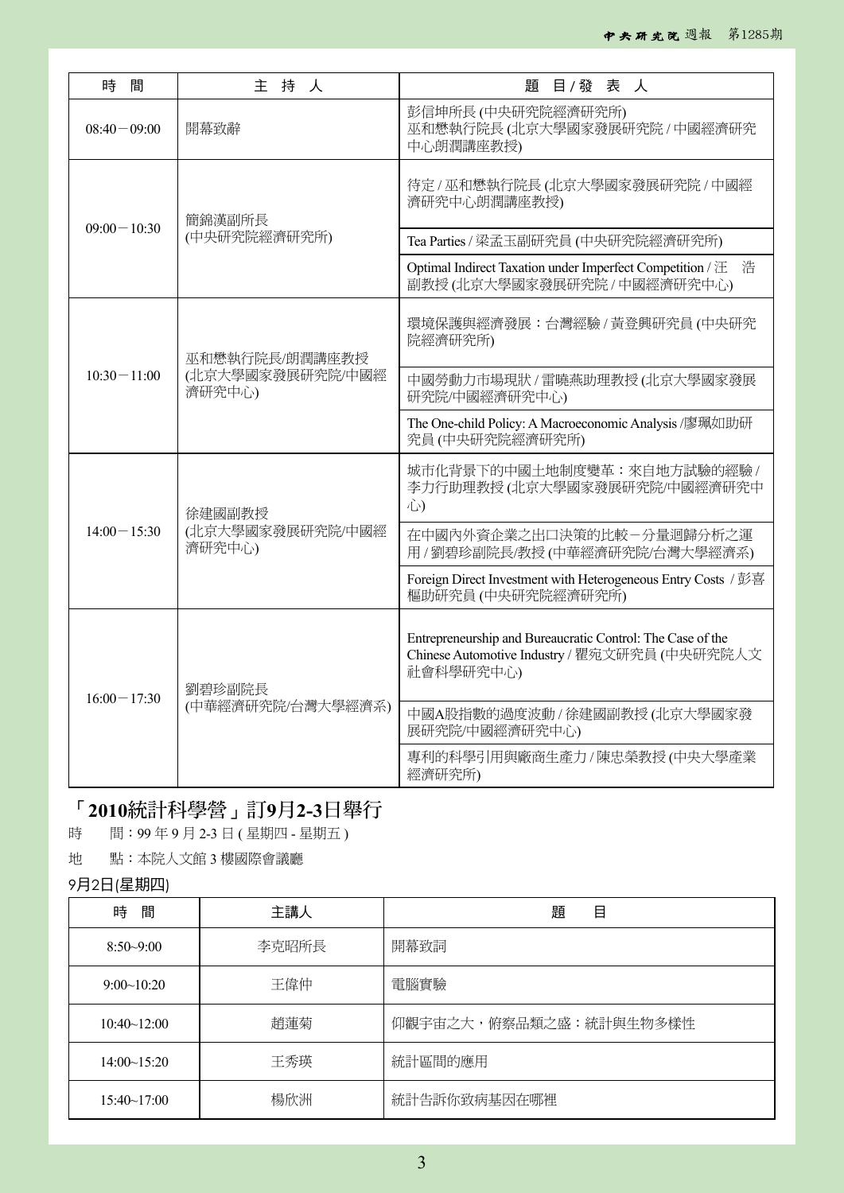| 時<br>間          | 主持人                        | 題<br>目/發表人                                                                                                               |  |
|-----------------|----------------------------|--------------------------------------------------------------------------------------------------------------------------|--|
| $08:40 - 09:00$ | 開幕致辭                       | 彭信坤所長 (中央研究院經濟研究所)<br>巫和懋執行院長(北京大學國家發展研究院 / 中國經濟研究<br>中心朗潤講座教授)                                                          |  |
| $09:00 - 10:30$ | 簡錦漢副所長                     | 待定/巫和懋執行院長(北京大學國家發展研究院/中國經<br>濟研究中心朗潤講座教授)                                                                               |  |
|                 | (中央研究院經濟研究所)               | Tea Parties / 梁孟玉副研究員 (中央研究院經濟研究所)                                                                                       |  |
|                 |                            | Optimal Indirect Taxation under Imperfect Competition / 汪<br>浩<br>副教授(北京大學國家發展研究院 / 中國經濟研究中心)                            |  |
| $10:30 - 11:00$ | 巫和懋執行院長/朗潤講座教授             | 環境保護與經濟發展:台灣經驗/黃登興研究員(中央研究<br>院經濟研究所)                                                                                    |  |
|                 | (北京大學國家發展研究院/中國經<br>濟研究中心) | 中國勞動力市場現狀 / 雷曉燕助理教授 (北京大學國家發展<br>研究院/中國經濟研究中心)                                                                           |  |
|                 |                            | The One-child Policy: A Macroeconomic Analysis /廖珮如助研<br>究員(中央研究院經濟研究所)                                                  |  |
| $14:00 - 15:30$ | 徐建國副教授                     | 城市化背景下的中國土地制度變革:來自地方試驗的經驗/<br>李力行助理教授(北京大學國家發展研究院/中國經濟研究中<br>心                                                           |  |
|                 | (北京大學國家發展研究院/中國經<br>濟研究中心) | 在中國內外資企業之出口決策的比較一分量迴歸分析之運<br>用 / 劉碧珍副院長/教授 (中華經濟研究院/台灣大學經濟系)                                                             |  |
|                 |                            | Foreign Direct Investment with Heterogeneous Entry Costs / 彭喜<br>樞助研究員 (中央研究院經濟研究所)                                      |  |
| $16:00 - 17:30$ | 劉碧珍副院長                     | Entrepreneurship and Bureaucratic Control: The Case of the<br>Chinese Automotive Industry / 瞿宛文研究員 (中央研究院人文<br>社會科學研究中心) |  |
|                 | (中華經濟研究院/台灣大學經濟系)          | 中國A股指數的過度波動 / 徐建國副教授 (北京大學國家發<br>展研究院/中國經濟研究中心)                                                                          |  |
|                 |                            | 專利的科學引用與廠商生產力/陳忠榮教授(中央大學產業<br>經濟研究所)                                                                                     |  |

# 「**2010**統計科學營」訂**9**月**2-3**日舉行

時 間: 99年9月2-3日 (星期四 - 星期五)

地 點:本院人文館 3 樓國際會議廳

## 9月2日(星期四)

| 時<br>間             | 主講人   | 題<br>目                 |
|--------------------|-------|------------------------|
| $8:50 - 9:00$      | 李克昭所長 | 開幕致詞                   |
| 9:00~10:20         | 王偉仲   | 電腦實驗                   |
| 10:40~12:00        | 趙蓮菊   | 仰觀宇宙之大,俯察品類之盛:統計與生物多樣性 |
| 14:00~15:20        | 王秀瑛   | 統計區間的應用                |
| $15:40 \sim 17:00$ | 楊欣洲   | 統計告訴你致病基因在哪裡           |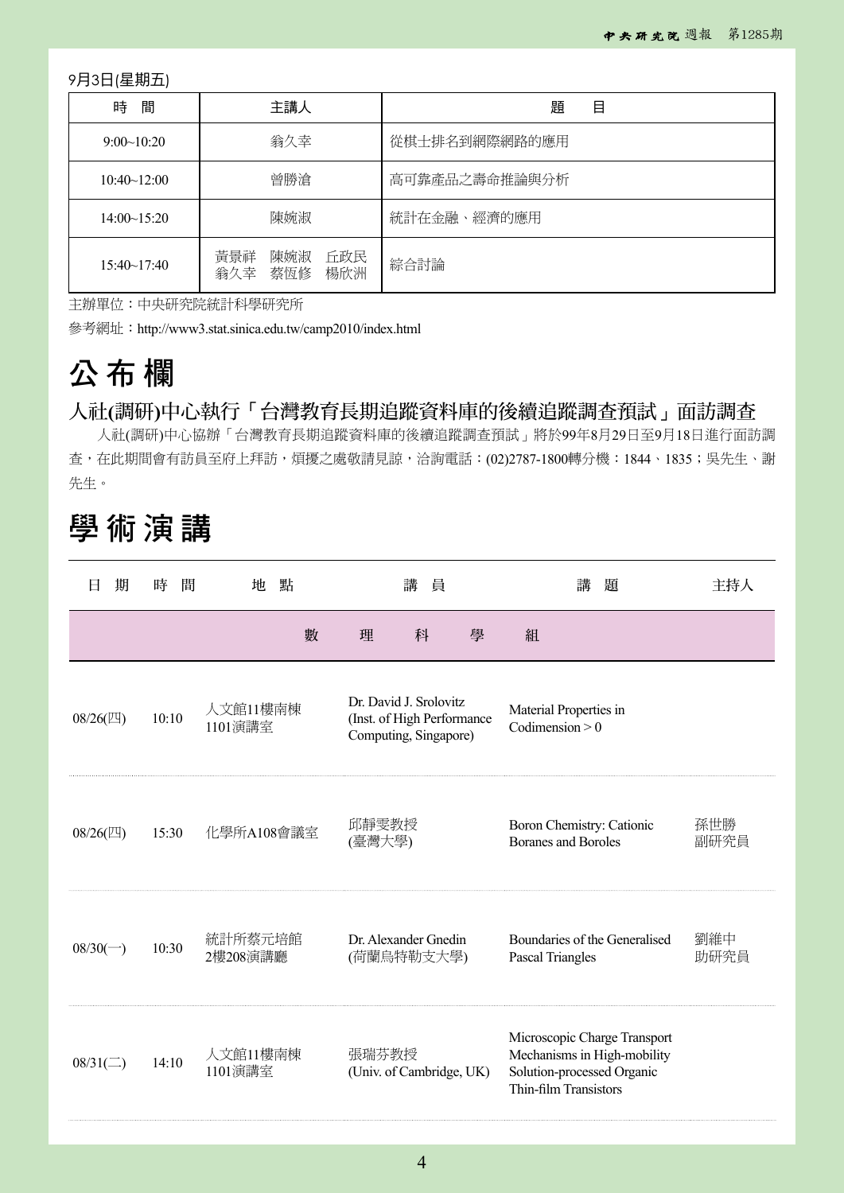9月3日(星期五)

| 間<br>時             | 主講人                                    | 題<br>目        |
|--------------------|----------------------------------------|---------------|
| 9:00~10:20         | 翁久幸                                    | 從棋士排名到網際網路的應用 |
| 10:40~12:00        | 曾勝滄                                    | 高可靠產品之壽命推論與分析 |
| 14:00~15:20        | 陳婉淑                                    | 統計在金融、經濟的應用   |
| $15:40 \sim 17:40$ | 黃景祥<br>陳婉淑<br>丘政民<br>翁久幸<br>楊欣洲<br>蔡恆修 | 綜合討論          |

主辦單位:中央研究院統計科學研究所

參考網址:http://www3.stat.sinica.edu.tw/camp2010/index.html

# 公 布 欄

## 人社**(**調研**)**中心執行「台灣教育長期追蹤資料庫的後續追蹤調查預試」面訪調查

人社(調研)中心協辦「台灣教育長期追蹤資料庫的後續追蹤調查預試」將於99年8月29日至9月18日進行面訪調 查,在此期間會有訪員至府上拜訪,煩擾之處敬請見諒,洽詢電話:(02)2787-1800轉分機:1844、1835;吳先生、謝 先生。

# 學 術 演 講

| 期<br>Ħ           | 間<br>時 | 地<br>點              | 講<br>員          |                                                                               |   | 講<br>題                                                                                                             | 主持人         |
|------------------|--------|---------------------|-----------------|-------------------------------------------------------------------------------|---|--------------------------------------------------------------------------------------------------------------------|-------------|
|                  |        | 數                   | 理               | 科                                                                             | 學 | 組                                                                                                                  |             |
| 08/26(2)         | 10:10  | 人文館11樓南棟<br>1101演講室 |                 | Dr. David J. Srolovitz<br>(Inst. of High Performance<br>Computing, Singapore) |   | Material Properties in<br>Codimension $> 0$                                                                        |             |
| $08/26$ (四)      | 15:30  | 化學所A108會議室          | 邱靜雯教授<br>(臺灣大學) |                                                                               |   | Boron Chemistry: Cationic<br><b>Boranes and Boroles</b>                                                            | 孫世勝<br>副研究員 |
| $08/30(-)$       | 10:30  | 統計所蔡元培館<br>2樓208演講廳 |                 | Dr. Alexander Gnedin<br>(荷蘭鳥特勒支大學)                                            |   | Boundaries of the Generalised<br>Pascal Triangles                                                                  | 劉維中<br>助研究員 |
| $08/31(\square)$ | 14:10  | 人文館11樓南棟<br>1101演講室 | 張瑞芬教授           | (Univ. of Cambridge, UK)                                                      |   | Microscopic Charge Transport<br>Mechanisms in High-mobility<br>Solution-processed Organic<br>Thin-film Transistors |             |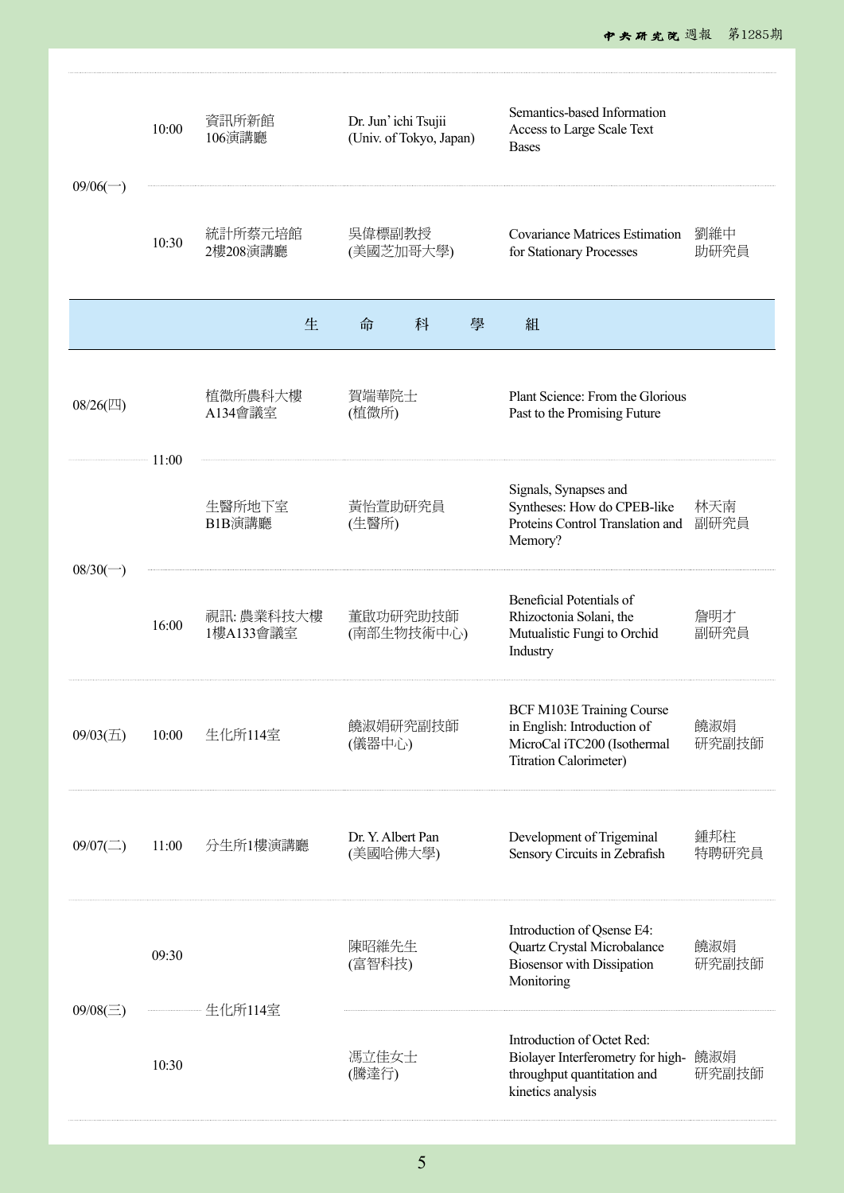| $09/06$ $\rightarrow$ | 10:00 | 資訊所新館<br>106演講廳        | Dr. Jun' ichi Tsujii<br>(Univ. of Tokyo, Japan) | Semantics-based Information<br>Access to Large Scale Text<br><b>Bases</b>                                                       |              |
|-----------------------|-------|------------------------|-------------------------------------------------|---------------------------------------------------------------------------------------------------------------------------------|--------------|
|                       | 10:30 | 統計所蔡元培館<br>2樓208演講廳    | 吳偉標副教授<br>(美國芝加哥大學)                             | <b>Covariance Matrices Estimation</b><br>for Stationary Processes                                                               | 劉維中<br>助研究員  |
|                       |       | 生                      | 科<br>命<br>學                                     | 組                                                                                                                               |              |
| 08/26(四)<br>$-$ 11:00 |       | 植微所農科大樓<br>A134會議室     | 賀端華院士<br>(植微所)                                  | Plant Science: From the Glorious<br>Past to the Promising Future                                                                |              |
|                       |       | 生醫所地下室<br>B1B演講廳       | 黃怡萱助研究員<br>(生醫所)                                | Signals, Synapses and<br>Syntheses: How do CPEB-like<br>Proteins Control Translation and<br>Memory?                             | 林天南<br>副研究員  |
| $08/30(-)$            | 16:00 | 視訊:農業科技大樓<br>1樓A133會議室 | 董啟功研究助技師<br>(南部生物技術中心)                          | Beneficial Potentials of<br>Rhizoctonia Solani, the<br>Mutualistic Fungi to Orchid<br>Industry                                  | 詹明才<br>副研究員  |
| $09/03(\pm)$          | 10:00 | 生化所114室                | 饒淑娟研究副技師<br>(儀器中心)                              | <b>BCF M103E Training Course</b><br>in English: Introduction of<br>MicroCal iTC200 (Isothermal<br><b>Titration Calorimeter)</b> | 饒淑娟<br>研究副技師 |
| $09/07(\square)$      | 11:00 | 分生所1樓演講廳               | Dr. Y. Albert Pan<br>(美國哈佛大學)                   | Development of Trigeminal<br>Sensory Circuits in Zebrafish                                                                      | 鍾邦柱<br>特聘研究員 |
| $09/08(\equiv)$       | 09:30 |                        | 陳昭維先生<br>(富智科技)                                 | Introduction of Qsense E4:<br>Quartz Crystal Microbalance<br>Biosensor with Dissipation<br>Monitoring                           | 饒淑娟<br>研究副技師 |
|                       | 10:30 |                        | 馮立佳女士<br>(騰達行)                                  | Introduction of Octet Red:<br>Biolayer Interferometry for high-<br>throughput quantitation and<br>kinetics analysis             | 饒淑娟<br>研究副技師 |